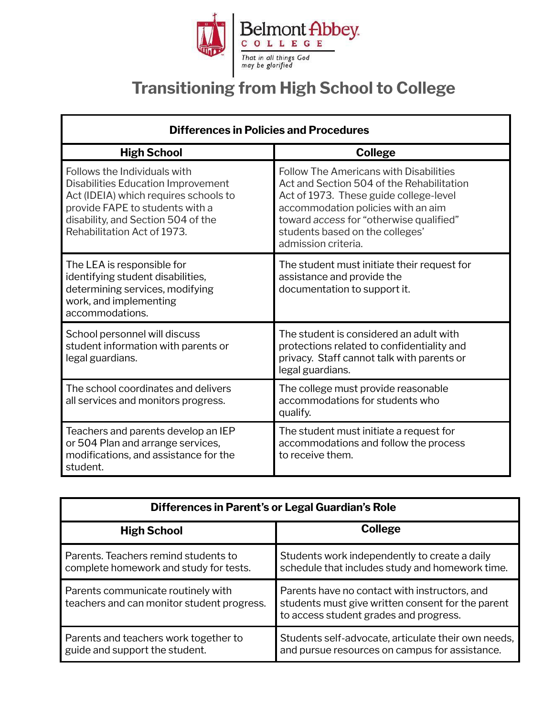

## **Transitioning from High School to College**

| <b>Differences in Policies and Procedures</b>                                                                                                                                                                              |                                                                                                                                                                                                                                                                                 |  |
|----------------------------------------------------------------------------------------------------------------------------------------------------------------------------------------------------------------------------|---------------------------------------------------------------------------------------------------------------------------------------------------------------------------------------------------------------------------------------------------------------------------------|--|
| <b>High School</b>                                                                                                                                                                                                         | <b>College</b>                                                                                                                                                                                                                                                                  |  |
| Follows the Individuals with<br><b>Disabilities Education Improvement</b><br>Act (IDEIA) which requires schools to<br>provide FAPE to students with a<br>disability, and Section 504 of the<br>Rehabilitation Act of 1973. | <b>Follow The Americans with Disabilities</b><br>Act and Section 504 of the Rehabilitation<br>Act of 1973. These guide college-level<br>accommodation policies with an aim<br>toward access for "otherwise qualified"<br>students based on the colleges'<br>admission criteria. |  |
| The LEA is responsible for<br>identifying student disabilities,<br>determining services, modifying<br>work, and implementing<br>accommodations.                                                                            | The student must initiate their request for<br>assistance and provide the<br>documentation to support it.                                                                                                                                                                       |  |
| School personnel will discuss<br>student information with parents or<br>legal guardians.                                                                                                                                   | The student is considered an adult with<br>protections related to confidentiality and<br>privacy. Staff cannot talk with parents or<br>legal guardians.                                                                                                                         |  |
| The school coordinates and delivers<br>all services and monitors progress.                                                                                                                                                 | The college must provide reasonable<br>accommodations for students who<br>qualify.                                                                                                                                                                                              |  |
| Teachers and parents develop an IEP<br>or 504 Plan and arrange services,<br>modifications, and assistance for the<br>student.                                                                                              | The student must initiate a request for<br>accommodations and follow the process<br>to receive them.                                                                                                                                                                            |  |

| Differences in Parent's or Legal Guardian's Role                                 |                                                                                                                                              |  |
|----------------------------------------------------------------------------------|----------------------------------------------------------------------------------------------------------------------------------------------|--|
| <b>High School</b>                                                               | <b>College</b>                                                                                                                               |  |
| Parents. Teachers remind students to<br>complete homework and study for tests.   | Students work independently to create a daily<br>schedule that includes study and homework time.                                             |  |
| Parents communicate routinely with<br>teachers and can monitor student progress. | Parents have no contact with instructors, and<br>students must give written consent for the parent<br>to access student grades and progress. |  |
| Parents and teachers work together to<br>guide and support the student.          | Students self-advocate, articulate their own needs,<br>and pursue resources on campus for assistance.                                        |  |